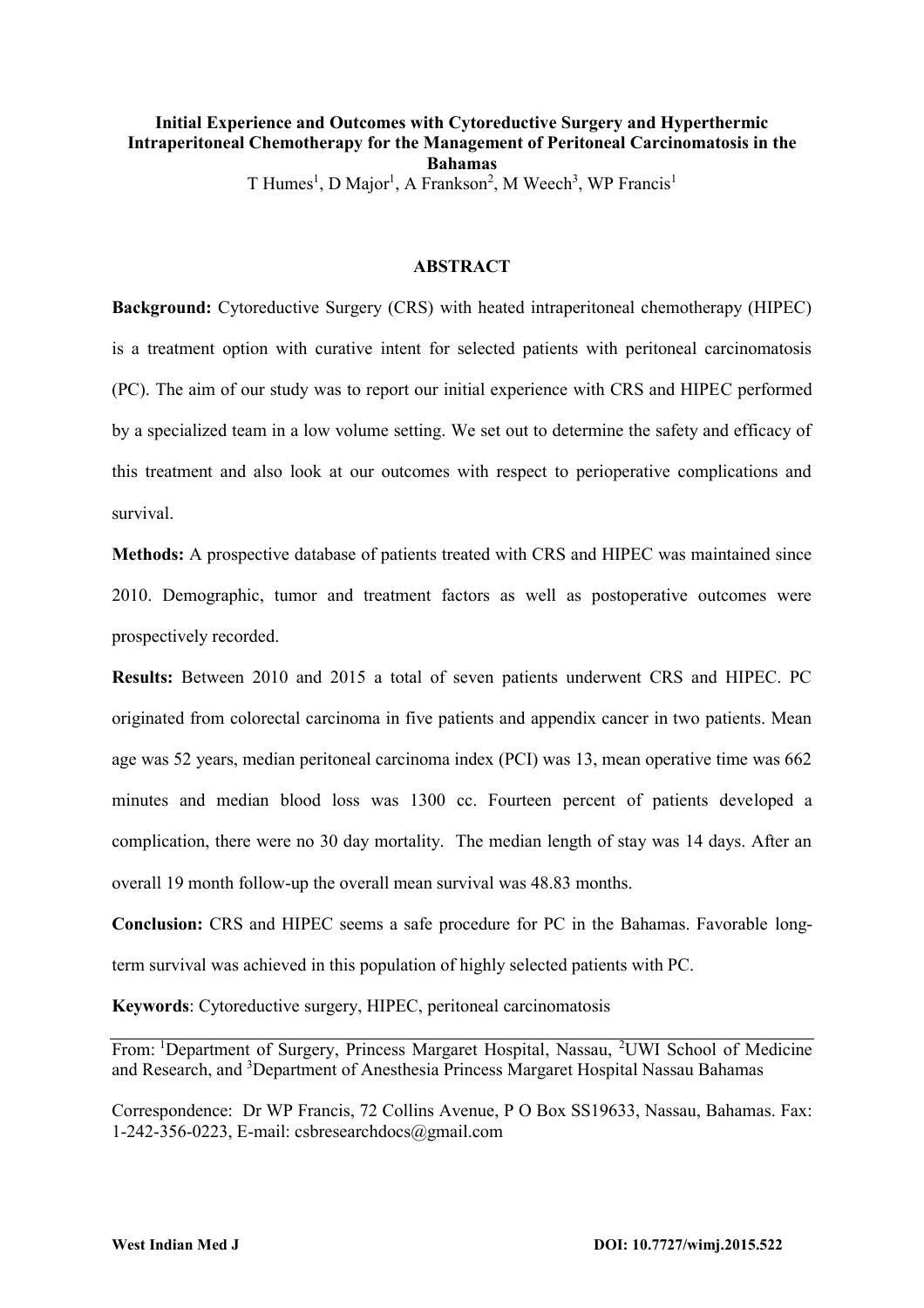# **Initial Experience and Outcomes with Cytoreductive Surgery and Hyperthermic Intraperitoneal Chemotherapy for the Management of Peritoneal Carcinomatosis in the Bahamas**

T Humes<sup>1</sup>, D Major<sup>1</sup>, A Frankson<sup>2</sup>, M Weech<sup>3</sup>, WP Francis<sup>1</sup>

### **ABSTRACT**

**Background:** Cytoreductive Surgery (CRS) with heated intraperitoneal chemotherapy (HIPEC) is a treatment option with curative intent for selected patients with peritoneal carcinomatosis (PC). The aim of our study was to report our initial experience with CRS and HIPEC performed by a specialized team in a low volume setting. We set out to determine the safety and efficacy of this treatment and also look at our outcomes with respect to perioperative complications and survival.

**Methods:** A prospective database of patients treated with CRS and HIPEC was maintained since 2010. Demographic, tumor and treatment factors as well as postoperative outcomes were prospectively recorded.

**Results:** Between 2010 and 2015 a total of seven patients underwent CRS and HIPEC. PC originated from colorectal carcinoma in five patients and appendix cancer in two patients. Mean age was 52 years, median peritoneal carcinoma index (PCI) was 13, mean operative time was 662 minutes and median blood loss was 1300 cc. Fourteen percent of patients developed a complication, there were no 30 day mortality. The median length of stay was 14 days. After an overall 19 month follow-up the overall mean survival was 48.83 months.

**Conclusion:** CRS and HIPEC seems a safe procedure for PC in the Bahamas. Favorable longterm survival was achieved in this population of highly selected patients with PC.

**Keywords**: Cytoreductive surgery, HIPEC, peritoneal carcinomatosis

From: <sup>1</sup>Department of Surgery, Princess Margaret Hospital, Nassau, <sup>2</sup>UWI School of Medicine and Research, and <sup>3</sup>Department of Anesthesia Princess Margaret Hospital Nassau Bahamas

Correspondence: Dr WP Francis, 72 Collins Avenue, P O Box SS19633, Nassau, Bahamas. Fax: 1-242-356-0223, E-mail: [csbresearchdocs@gmail.com](mailto:csbresearchdocs@gmail.com)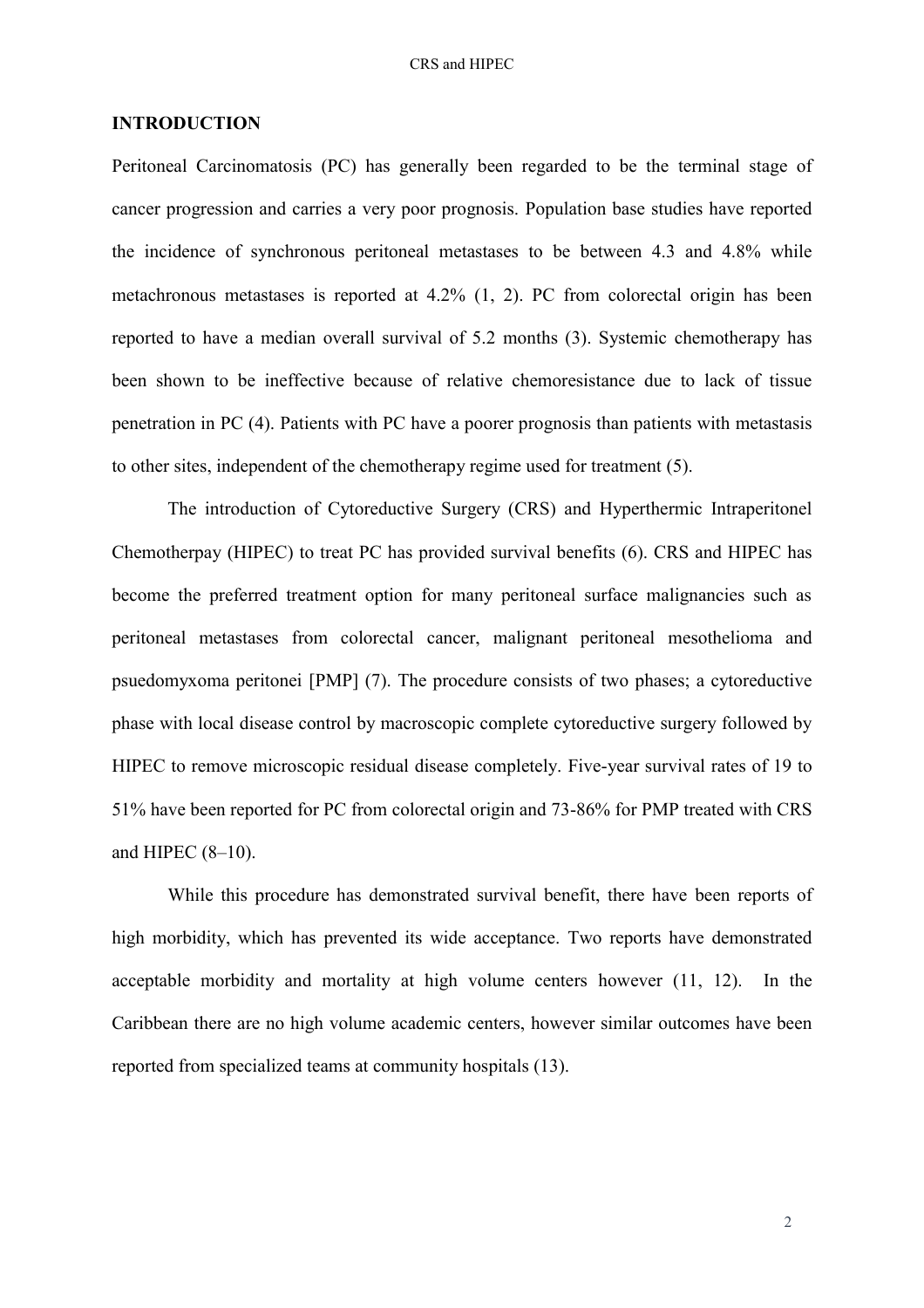### **INTRODUCTION**

Peritoneal Carcinomatosis (PC) has generally been regarded to be the terminal stage of cancer progression and carries a very poor prognosis. Population base studies have reported the incidence of synchronous peritoneal metastases to be between 4.3 and 4.8% while metachronous metastases is reported at 4.2% [\(1,](#page-7-0) [2\)](#page-7-1). PC from colorectal origin has been reported to have a median overall survival of 5.2 months [\(3\)](#page-7-2). Systemic chemotherapy has been shown to be ineffective because of relative chemoresistance due to lack of tissue penetration in PC [\(4\)](#page-7-3). Patients with PC have a poorer prognosis than patients with metastasis to other sites, independent of the chemotherapy regime used for treatment [\(5\)](#page-7-4).

The introduction of Cytoreductive Surgery (CRS) and Hyperthermic Intraperitonel Chemotherpay (HIPEC) to treat PC has provided survival benefits [\(6\)](#page-7-5). CRS and HIPEC has become the preferred treatment option for many peritoneal surface malignancies such as peritoneal metastases from colorectal cancer, malignant peritoneal mesothelioma and psuedomyxoma peritonei [PMP] [\(7\)](#page-8-0). The procedure consists of two phases; a cytoreductive phase with local disease control by macroscopic complete cytoreductive surgery followed by HIPEC to remove microscopic residual disease completely. Five-year survival rates of 19 to 51% have been reported for PC from colorectal origin and 73-86% for PMP treated with CRS and HIPEC (8–[10\)](#page-8-1).

While this procedure has demonstrated survival benefit, there have been reports of high morbidity, which has prevented its wide acceptance. Two reports have demonstrated acceptable morbidity and mortality at high volume centers however [\(11,](#page-8-2) [12\)](#page-9-0). In the Caribbean there are no high volume academic centers, however similar outcomes have been reported from specialized teams at community hospitals [\(13\)](#page-9-1).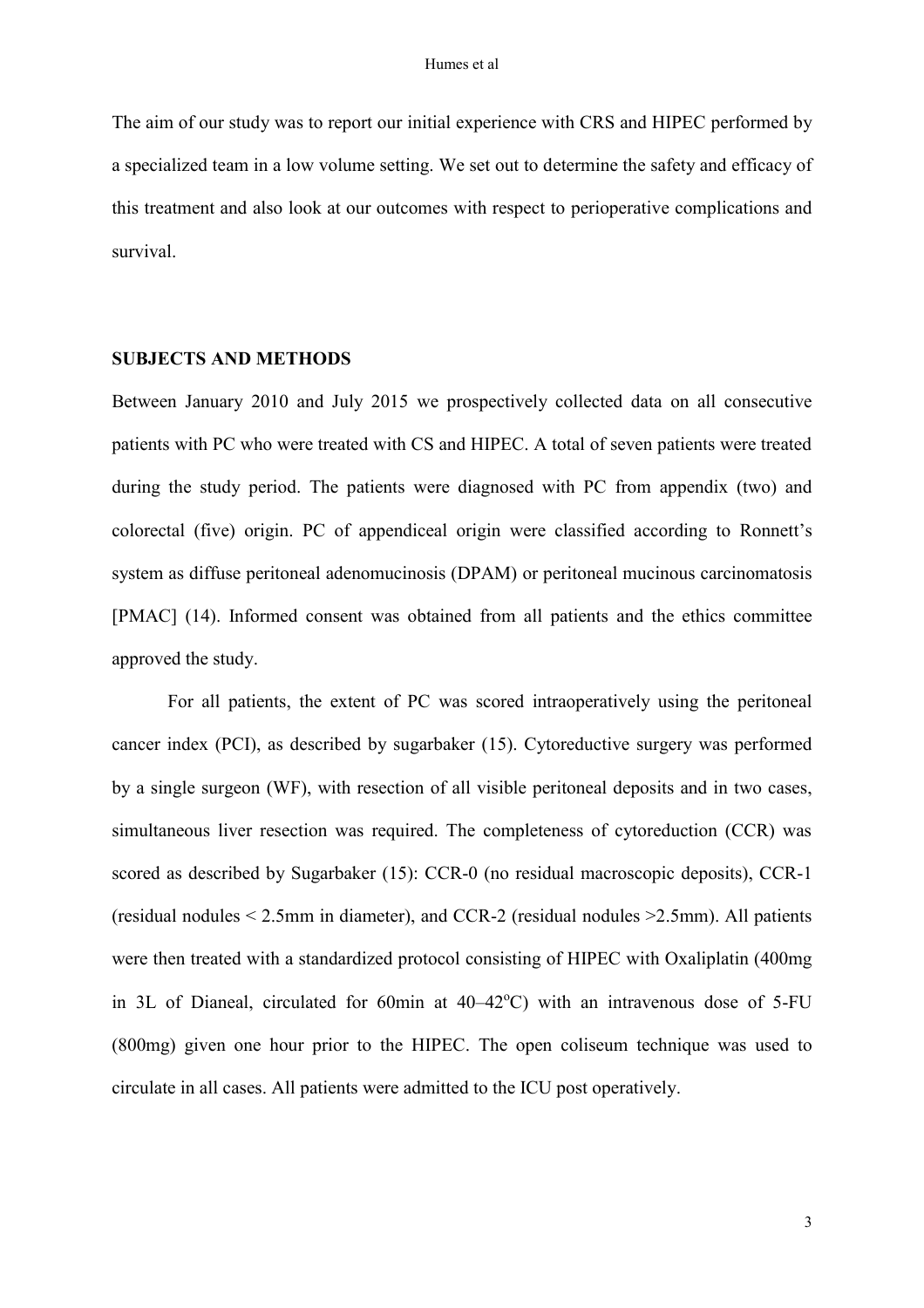The aim of our study was to report our initial experience with CRS and HIPEC performed by a specialized team in a low volume setting. We set out to determine the safety and efficacy of this treatment and also look at our outcomes with respect to perioperative complications and survival.

### **SUBJECTS AND METHODS**

Between January 2010 and July 2015 we prospectively collected data on all consecutive patients with PC who were treated with CS and HIPEC. A total of seven patients were treated during the study period. The patients were diagnosed with PC from appendix (two) and colorectal (five) origin. PC of appendiceal origin were classified according to Ronnett's system as diffuse peritoneal adenomucinosis (DPAM) or peritoneal mucinous carcinomatosis [PMAC] [\(14\)](#page-9-2). Informed consent was obtained from all patients and the ethics committee approved the study.

For all patients, the extent of PC was scored intraoperatively using the peritoneal cancer index (PCI), as described by sugarbaker [\(15\)](#page-9-3). Cytoreductive surgery was performed by a single surgeon (WF), with resection of all visible peritoneal deposits and in two cases, simultaneous liver resection was required. The completeness of cytoreduction (CCR) was scored as described by Sugarbaker [\(15\)](#page-9-3): CCR-0 (no residual macroscopic deposits), CCR-1 (residual nodules < 2.5mm in diameter), and CCR-2 (residual nodules >2.5mm). All patients were then treated with a standardized protocol consisting of HIPEC with Oxaliplatin (400mg in 3L of Dianeal, circulated for 60min at  $40-42^{\circ}$ C) with an intravenous dose of 5-FU (800mg) given one hour prior to the HIPEC. The open coliseum technique was used to circulate in all cases. All patients were admitted to the ICU post operatively.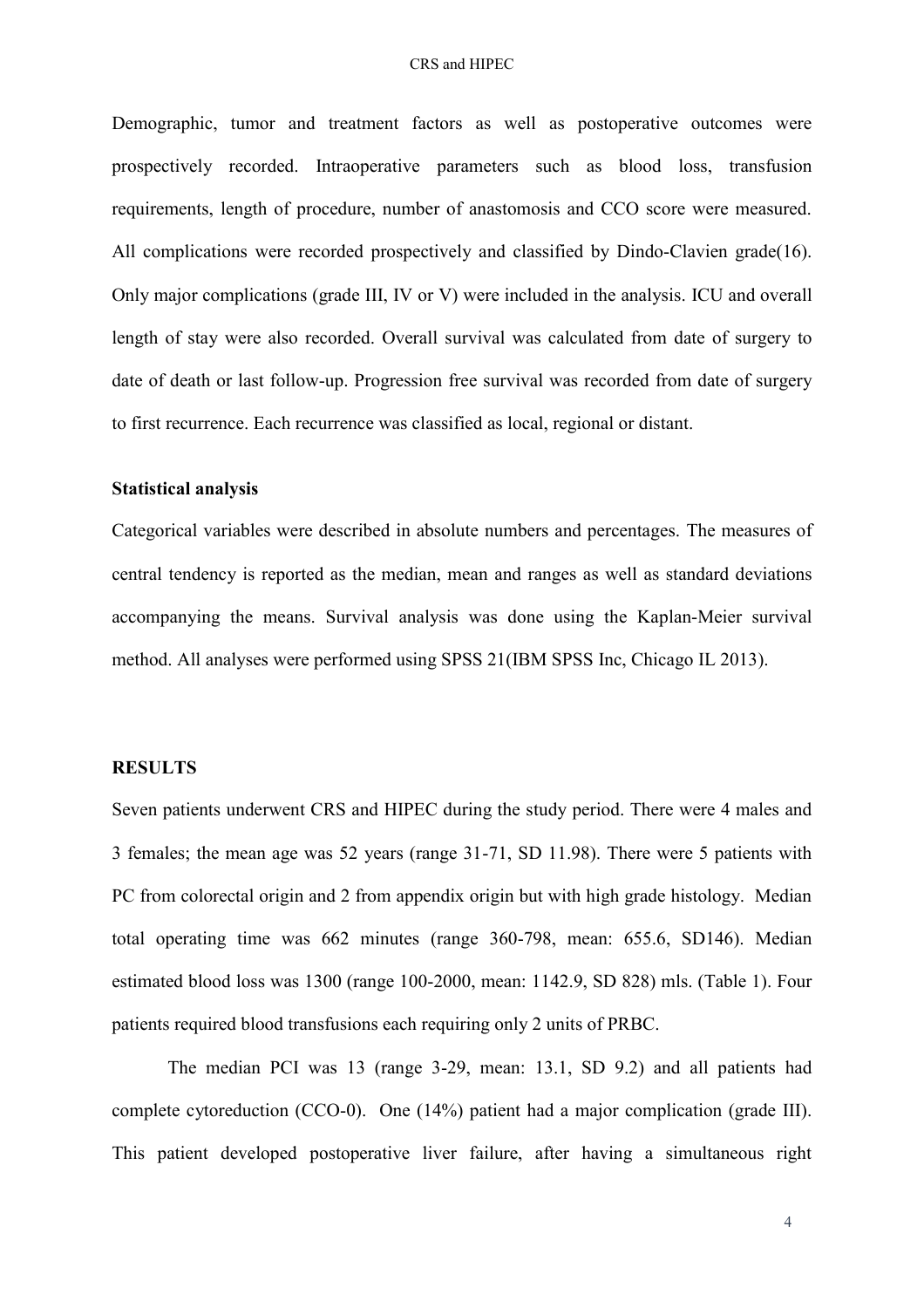#### CRS and HIPEC

Demographic, tumor and treatment factors as well as postoperative outcomes were prospectively recorded. Intraoperative parameters such as blood loss, transfusion requirements, length of procedure, number of anastomosis and CCO score were measured. All complications were recorded prospectively and classified by Dindo-Clavien grade[\(16\)](#page-9-4). Only major complications (grade III, IV or V) were included in the analysis. ICU and overall length of stay were also recorded. Overall survival was calculated from date of surgery to date of death or last follow-up. Progression free survival was recorded from date of surgery to first recurrence. Each recurrence was classified as local, regional or distant.

### **Statistical analysis**

Categorical variables were described in absolute numbers and percentages. The measures of central tendency is reported as the median, mean and ranges as well as standard deviations accompanying the means. Survival analysis was done using the Kaplan-Meier survival method. All analyses were performed using SPSS 21(IBM SPSS Inc, Chicago IL 2013).

### **RESULTS**

Seven patients underwent CRS and HIPEC during the study period. There were 4 males and 3 females; the mean age was 52 years (range 31-71, SD 11.98). There were 5 patients with PC from colorectal origin and 2 from appendix origin but with high grade histology. Median total operating time was 662 minutes (range 360-798, mean: 655.6, SD146). Median estimated blood loss was 1300 (range 100-2000, mean: 1142.9, SD 828) mls. (Table 1). Four patients required blood transfusions each requiring only 2 units of PRBC.

The median PCI was 13 (range 3-29, mean: 13.1, SD 9.2) and all patients had complete cytoreduction (CCO-0). One (14%) patient had a major complication (grade III). This patient developed postoperative liver failure, after having a simultaneous right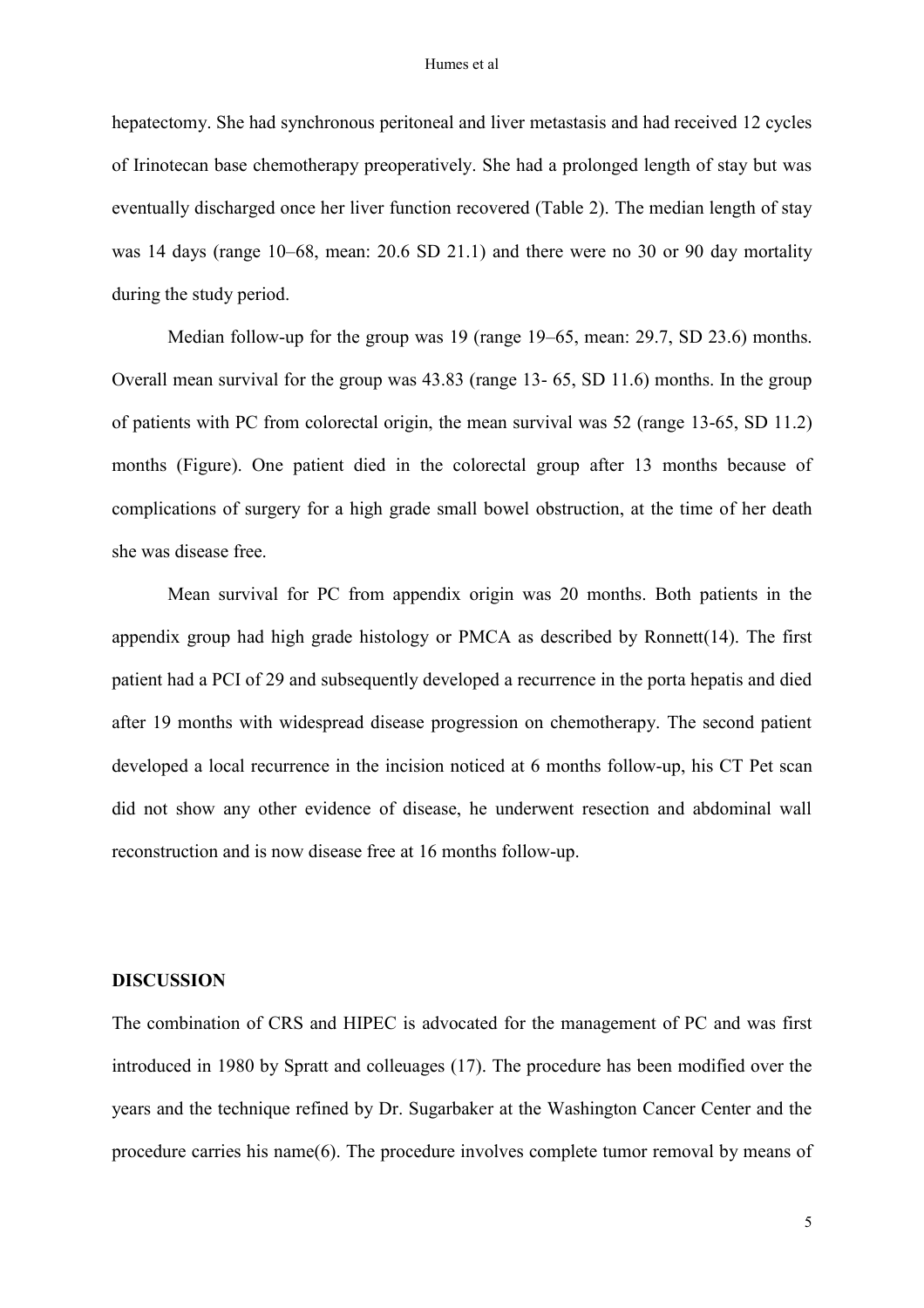#### Humes et al

hepatectomy. She had synchronous peritoneal and liver metastasis and had received 12 cycles of Irinotecan base chemotherapy preoperatively. She had a prolonged length of stay but was eventually discharged once her liver function recovered (Table 2). The median length of stay was 14 days (range 10–68, mean: 20.6 SD 21.1) and there were no 30 or 90 day mortality during the study period.

Median follow-up for the group was 19 (range 19–65, mean: 29.7, SD 23.6) months. Overall mean survival for the group was 43.83 (range 13- 65, SD 11.6) months. In the group of patients with PC from colorectal origin, the mean survival was 52 (range 13-65, SD 11.2) months (Figure). One patient died in the colorectal group after 13 months because of complications of surgery for a high grade small bowel obstruction, at the time of her death she was disease free.

Mean survival for PC from appendix origin was 20 months. Both patients in the appendix group had high grade histology or PMCA as described by Ronnett[\(14\)](#page-9-2). The first patient had a PCI of 29 and subsequently developed a recurrence in the porta hepatis and died after 19 months with widespread disease progression on chemotherapy. The second patient developed a local recurrence in the incision noticed at 6 months follow-up, his CT Pet scan did not show any other evidence of disease, he underwent resection and abdominal wall reconstruction and is now disease free at 16 months follow-up.

## **DISCUSSION**

The combination of CRS and HIPEC is advocated for the management of PC and was first introduced in 1980 by Spratt and colleuages [\(17\)](#page-9-5). The procedure has been modified over the years and the technique refined by Dr. Sugarbaker at the Washington Cancer Center and the procedure carries his name[\(6\)](#page-7-5). The procedure involves complete tumor removal by means of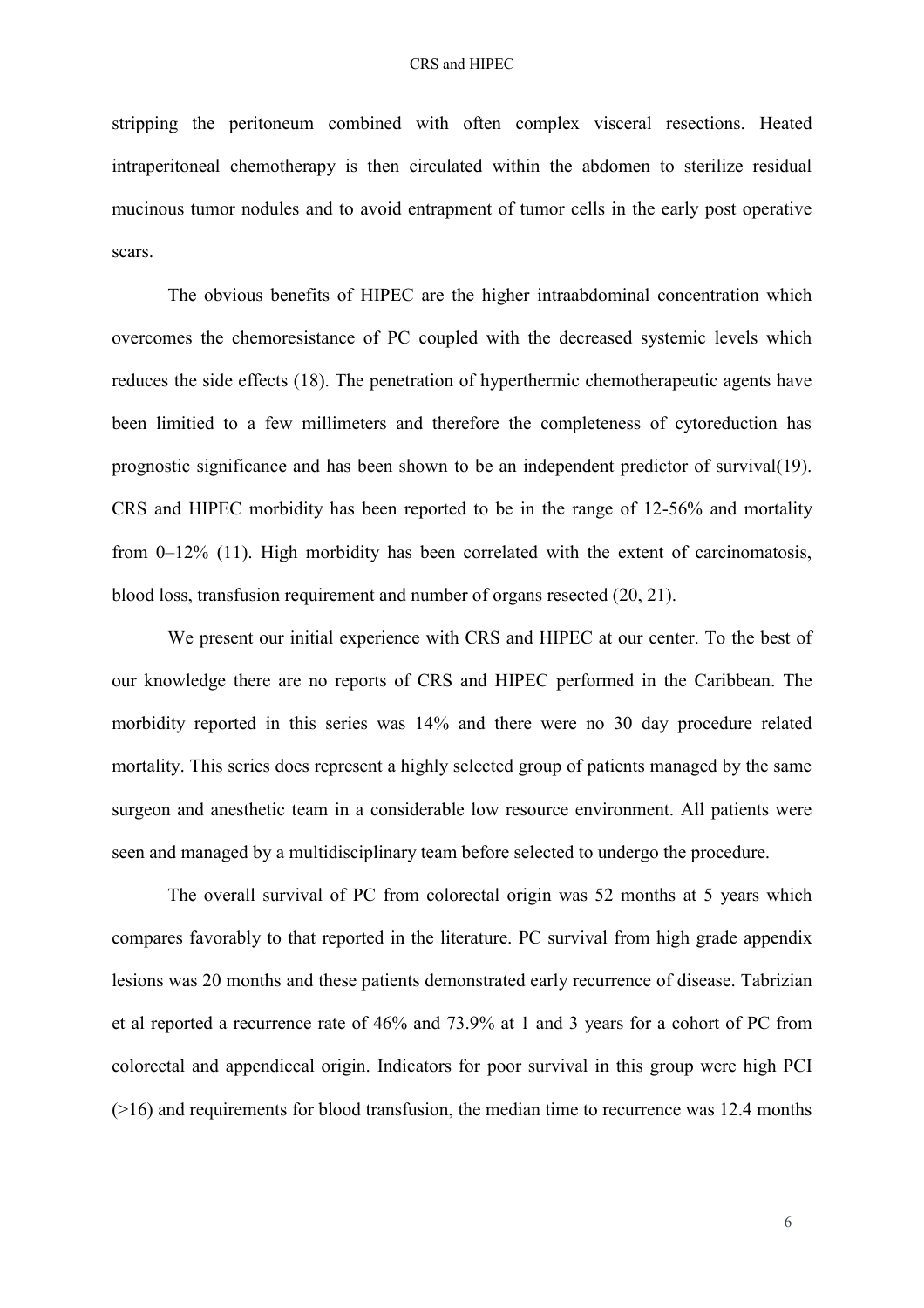stripping the peritoneum combined with often complex visceral resections. Heated intraperitoneal chemotherapy is then circulated within the abdomen to sterilize residual mucinous tumor nodules and to avoid entrapment of tumor cells in the early post operative scars.

The obvious benefits of HIPEC are the higher intraabdominal concentration which overcomes the chemoresistance of PC coupled with the decreased systemic levels which reduces the side effects [\(18\)](#page-10-0). The penetration of hyperthermic chemotherapeutic agents have been limitied to a few millimeters and therefore the completeness of cytoreduction has prognostic significance and has been shown to be an independent predictor of survival[\(19\)](#page-10-1). CRS and HIPEC morbidity has been reported to be in the range of 12-56% and mortality from 0–12% [\(11\)](#page-8-2). High morbidity has been correlated with the extent of carcinomatosis, blood loss, transfusion requirement and number of organs resected [\(20,](#page-10-2) [21\)](#page-10-3).

We present our initial experience with CRS and HIPEC at our center. To the best of our knowledge there are no reports of CRS and HIPEC performed in the Caribbean. The morbidity reported in this series was 14% and there were no 30 day procedure related mortality. This series does represent a highly selected group of patients managed by the same surgeon and anesthetic team in a considerable low resource environment. All patients were seen and managed by a multidisciplinary team before selected to undergo the procedure.

The overall survival of PC from colorectal origin was 52 months at 5 years which compares favorably to that reported in the literature. PC survival from high grade appendix lesions was 20 months and these patients demonstrated early recurrence of disease. Tabrizian et al reported a recurrence rate of 46% and 73.9% at 1 and 3 years for a cohort of PC from colorectal and appendiceal origin. Indicators for poor survival in this group were high PCI (>16) and requirements for blood transfusion, the median time to recurrence was 12.4 months

6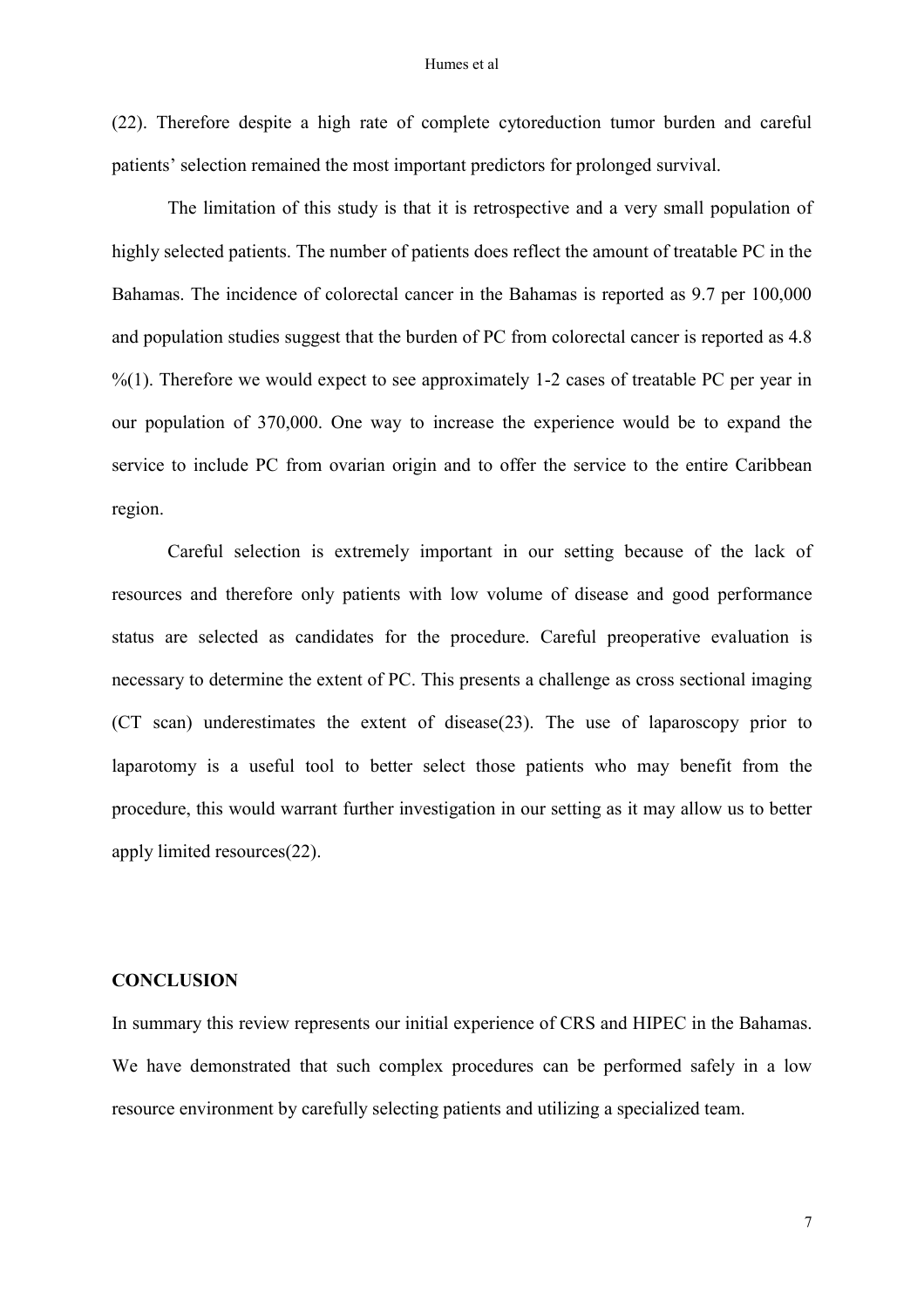#### Humes et al

[\(22\)](#page-10-4). Therefore despite a high rate of complete cytoreduction tumor burden and careful patients' selection remained the most important predictors for prolonged survival.

 The limitation of this study is that it is retrospective and a very small population of highly selected patients. The number of patients does reflect the amount of treatable PC in the Bahamas. The incidence of colorectal cancer in the Bahamas is reported as 9.7 per 100,000 and population studies suggest that the burden of PC from colorectal cancer is reported as 4.8  $\%$ [\(1\)](#page-7-0). Therefore we would expect to see approximately 1-2 cases of treatable PC per year in our population of 370,000. One way to increase the experience would be to expand the service to include PC from ovarian origin and to offer the service to the entire Caribbean region.

Careful selection is extremely important in our setting because of the lack of resources and therefore only patients with low volume of disease and good performance status are selected as candidates for the procedure. Careful preoperative evaluation is necessary to determine the extent of PC. This presents a challenge as cross sectional imaging (CT scan) underestimates the extent of disease[\(23\)](#page-10-5). The use of laparoscopy prior to laparotomy is a useful tool to better select those patients who may benefit from the procedure, this would warrant further investigation in our setting as it may allow us to better apply limited resources[\(22\)](#page-10-4).

## **CONCLUSION**

In summary this review represents our initial experience of CRS and HIPEC in the Bahamas. We have demonstrated that such complex procedures can be performed safely in a low resource environment by carefully selecting patients and utilizing a specialized team.

7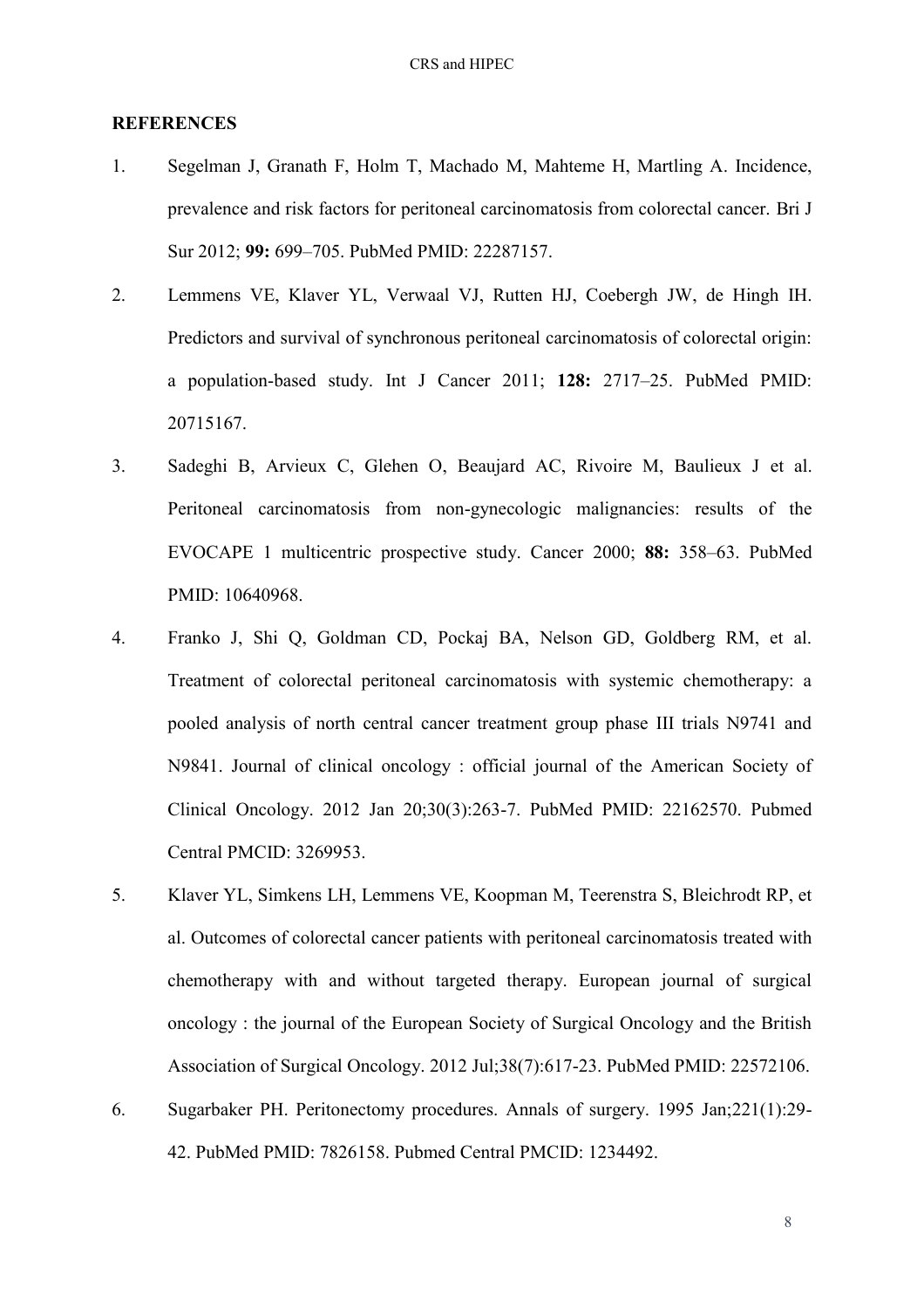#### **REFERENCES**

- <span id="page-7-0"></span>1. Segelman J, Granath F, Holm T, Machado M, Mahteme H, Martling A. Incidence, prevalence and risk factors for peritoneal carcinomatosis from colorectal cancer. Bri J Sur 2012; **99:** 699–705. PubMed PMID: 22287157.
- <span id="page-7-1"></span>2. Lemmens VE, Klaver YL, Verwaal VJ, Rutten HJ, Coebergh JW, de Hingh IH. Predictors and survival of synchronous peritoneal carcinomatosis of colorectal origin: a population-based study. Int J Cancer 2011; **128:** 2717–25. PubMed PMID: 20715167.
- <span id="page-7-2"></span>3. Sadeghi B, Arvieux C, Glehen O, Beaujard AC, Rivoire M, Baulieux J et al. Peritoneal carcinomatosis from non-gynecologic malignancies: results of the EVOCAPE 1 multicentric prospective study. Cancer 2000; **88:** 358–63. PubMed PMID: 10640968.
- <span id="page-7-3"></span>4. Franko J, Shi Q, Goldman CD, Pockaj BA, Nelson GD, Goldberg RM, et al. Treatment of colorectal peritoneal carcinomatosis with systemic chemotherapy: a pooled analysis of north central cancer treatment group phase III trials N9741 and N9841. Journal of clinical oncology : official journal of the American Society of Clinical Oncology. 2012 Jan 20;30(3):263-7. PubMed PMID: 22162570. Pubmed Central PMCID: 3269953.
- <span id="page-7-4"></span>5. Klaver YL, Simkens LH, Lemmens VE, Koopman M, Teerenstra S, Bleichrodt RP, et al. Outcomes of colorectal cancer patients with peritoneal carcinomatosis treated with chemotherapy with and without targeted therapy. European journal of surgical oncology : the journal of the European Society of Surgical Oncology and the British Association of Surgical Oncology. 2012 Jul;38(7):617-23. PubMed PMID: 22572106.
- <span id="page-7-5"></span>6. Sugarbaker PH. Peritonectomy procedures. Annals of surgery. 1995 Jan;221(1):29- 42. PubMed PMID: 7826158. Pubmed Central PMCID: 1234492.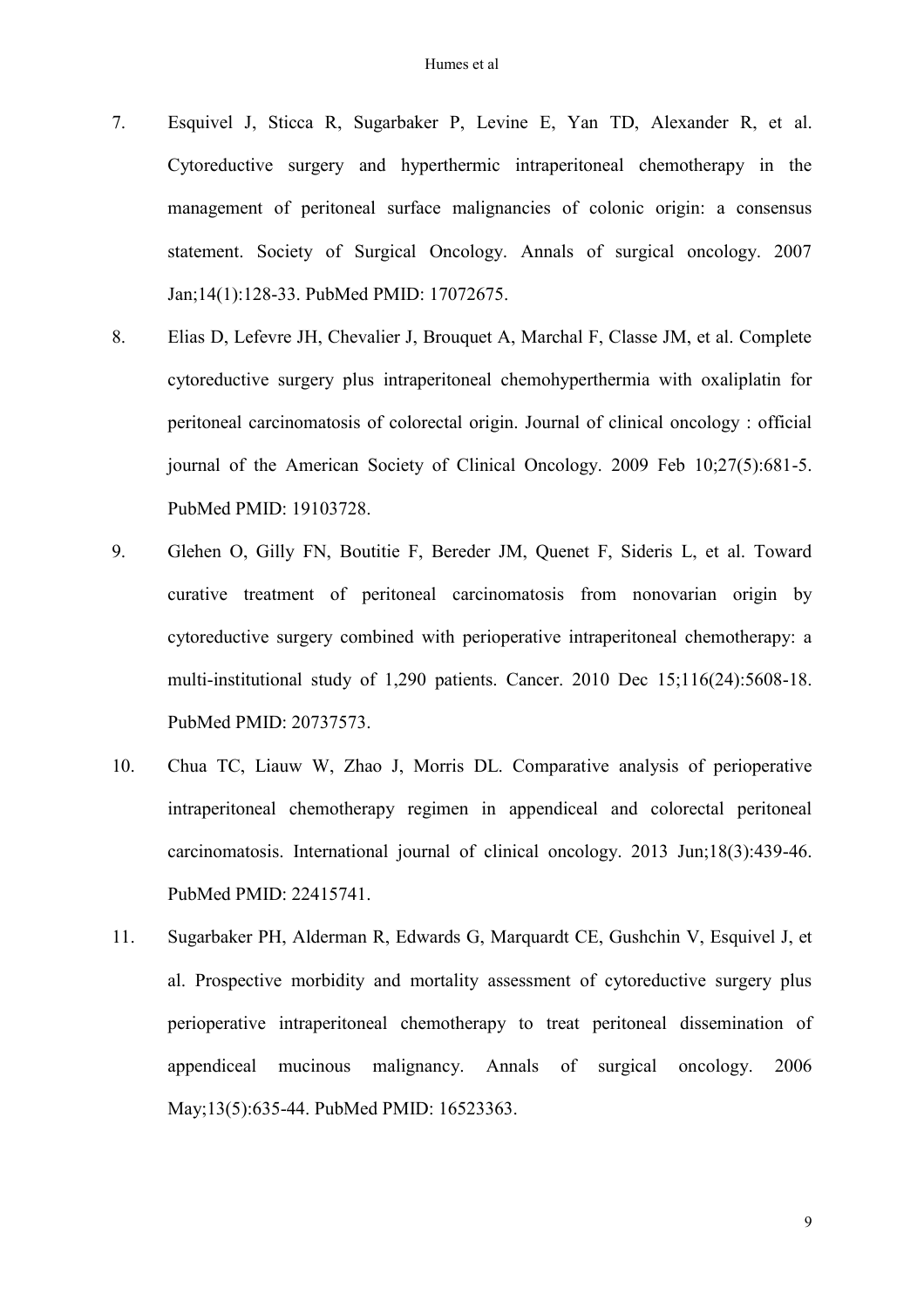- <span id="page-8-0"></span>7. Esquivel J, Sticca R, Sugarbaker P, Levine E, Yan TD, Alexander R, et al. Cytoreductive surgery and hyperthermic intraperitoneal chemotherapy in the management of peritoneal surface malignancies of colonic origin: a consensus statement. Society of Surgical Oncology. Annals of surgical oncology. 2007 Jan;14(1):128-33. PubMed PMID: 17072675.
- <span id="page-8-1"></span>8. Elias D, Lefevre JH, Chevalier J, Brouquet A, Marchal F, Classe JM, et al. Complete cytoreductive surgery plus intraperitoneal chemohyperthermia with oxaliplatin for peritoneal carcinomatosis of colorectal origin. Journal of clinical oncology : official journal of the American Society of Clinical Oncology. 2009 Feb 10;27(5):681-5. PubMed PMID: 19103728.
- 9. Glehen O, Gilly FN, Boutitie F, Bereder JM, Quenet F, Sideris L, et al. Toward curative treatment of peritoneal carcinomatosis from nonovarian origin by cytoreductive surgery combined with perioperative intraperitoneal chemotherapy: a multi-institutional study of 1,290 patients. Cancer. 2010 Dec 15;116(24):5608-18. PubMed PMID: 20737573.
- 10. Chua TC, Liauw W, Zhao J, Morris DL. Comparative analysis of perioperative intraperitoneal chemotherapy regimen in appendiceal and colorectal peritoneal carcinomatosis. International journal of clinical oncology. 2013 Jun;18(3):439-46. PubMed PMID: 22415741.
- <span id="page-8-2"></span>11. Sugarbaker PH, Alderman R, Edwards G, Marquardt CE, Gushchin V, Esquivel J, et al. Prospective morbidity and mortality assessment of cytoreductive surgery plus perioperative intraperitoneal chemotherapy to treat peritoneal dissemination of appendiceal mucinous malignancy. Annals of surgical oncology. 2006 May;13(5):635-44. PubMed PMID: 16523363.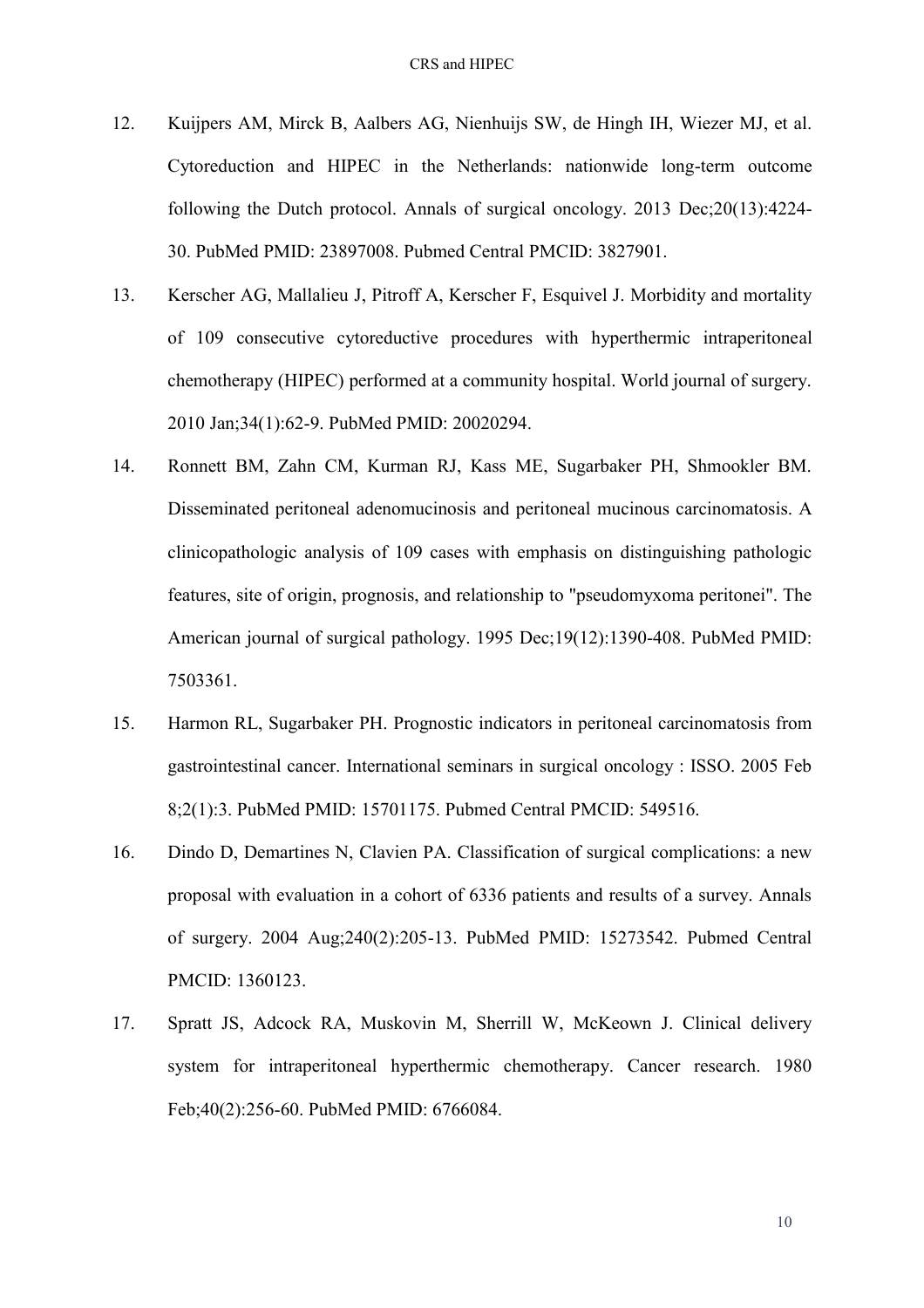- <span id="page-9-0"></span>12. Kuijpers AM, Mirck B, Aalbers AG, Nienhuijs SW, de Hingh IH, Wiezer MJ, et al. Cytoreduction and HIPEC in the Netherlands: nationwide long-term outcome following the Dutch protocol. Annals of surgical oncology. 2013 Dec;20(13):4224- 30. PubMed PMID: 23897008. Pubmed Central PMCID: 3827901.
- <span id="page-9-1"></span>13. Kerscher AG, Mallalieu J, Pitroff A, Kerscher F, Esquivel J. Morbidity and mortality of 109 consecutive cytoreductive procedures with hyperthermic intraperitoneal chemotherapy (HIPEC) performed at a community hospital. World journal of surgery. 2010 Jan;34(1):62-9. PubMed PMID: 20020294.
- <span id="page-9-2"></span>14. Ronnett BM, Zahn CM, Kurman RJ, Kass ME, Sugarbaker PH, Shmookler BM. Disseminated peritoneal adenomucinosis and peritoneal mucinous carcinomatosis. A clinicopathologic analysis of 109 cases with emphasis on distinguishing pathologic features, site of origin, prognosis, and relationship to "pseudomyxoma peritonei". The American journal of surgical pathology. 1995 Dec;19(12):1390-408. PubMed PMID: 7503361.
- <span id="page-9-3"></span>15. Harmon RL, Sugarbaker PH. Prognostic indicators in peritoneal carcinomatosis from gastrointestinal cancer. International seminars in surgical oncology : ISSO. 2005 Feb 8;2(1):3. PubMed PMID: 15701175. Pubmed Central PMCID: 549516.
- <span id="page-9-4"></span>16. Dindo D, Demartines N, Clavien PA. Classification of surgical complications: a new proposal with evaluation in a cohort of 6336 patients and results of a survey. Annals of surgery. 2004 Aug;240(2):205-13. PubMed PMID: 15273542. Pubmed Central PMCID: 1360123.
- <span id="page-9-5"></span>17. Spratt JS, Adcock RA, Muskovin M, Sherrill W, McKeown J. Clinical delivery system for intraperitoneal hyperthermic chemotherapy. Cancer research. 1980 Feb;40(2):256-60. PubMed PMID: 6766084.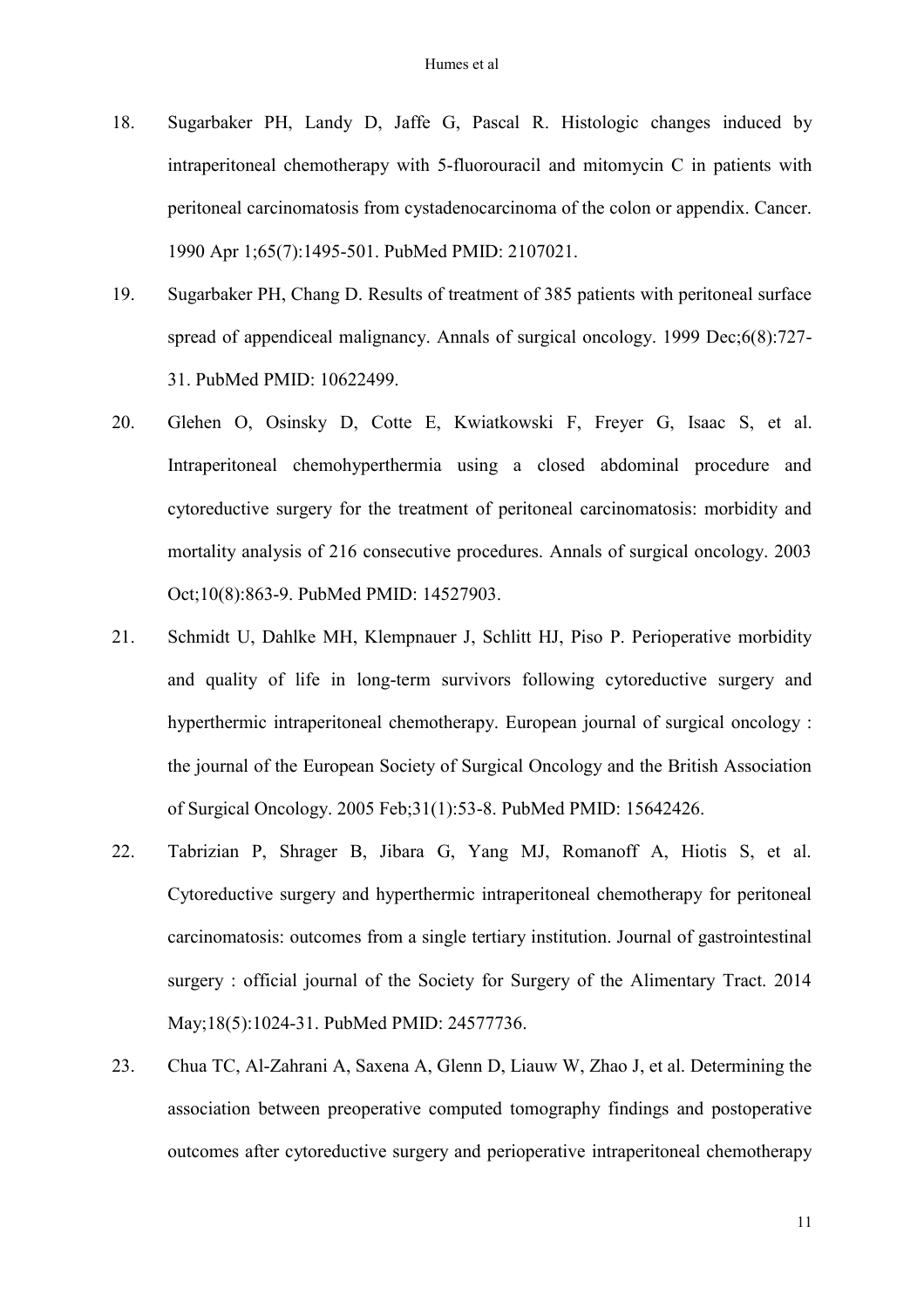- <span id="page-10-0"></span>18. Sugarbaker PH, Landy D, Jaffe G, Pascal R. Histologic changes induced by intraperitoneal chemotherapy with 5-fluorouracil and mitomycin C in patients with peritoneal carcinomatosis from cystadenocarcinoma of the colon or appendix. Cancer. 1990 Apr 1;65(7):1495-501. PubMed PMID: 2107021.
- <span id="page-10-1"></span>19. Sugarbaker PH, Chang D. Results of treatment of 385 patients with peritoneal surface spread of appendiceal malignancy. Annals of surgical oncology. 1999 Dec;6(8):727- 31. PubMed PMID: 10622499.
- <span id="page-10-2"></span>20. Glehen O, Osinsky D, Cotte E, Kwiatkowski F, Freyer G, Isaac S, et al. Intraperitoneal chemohyperthermia using a closed abdominal procedure and cytoreductive surgery for the treatment of peritoneal carcinomatosis: morbidity and mortality analysis of 216 consecutive procedures. Annals of surgical oncology. 2003 Oct;10(8):863-9. PubMed PMID: 14527903.
- <span id="page-10-3"></span>21. Schmidt U, Dahlke MH, Klempnauer J, Schlitt HJ, Piso P. Perioperative morbidity and quality of life in long-term survivors following cytoreductive surgery and hyperthermic intraperitoneal chemotherapy. European journal of surgical oncology : the journal of the European Society of Surgical Oncology and the British Association of Surgical Oncology. 2005 Feb;31(1):53-8. PubMed PMID: 15642426.
- <span id="page-10-4"></span>22. Tabrizian P, Shrager B, Jibara G, Yang MJ, Romanoff A, Hiotis S, et al. Cytoreductive surgery and hyperthermic intraperitoneal chemotherapy for peritoneal carcinomatosis: outcomes from a single tertiary institution. Journal of gastrointestinal surgery : official journal of the Society for Surgery of the Alimentary Tract. 2014 May;18(5):1024-31. PubMed PMID: 24577736.
- <span id="page-10-5"></span>23. Chua TC, Al-Zahrani A, Saxena A, Glenn D, Liauw W, Zhao J, et al. Determining the association between preoperative computed tomography findings and postoperative outcomes after cytoreductive surgery and perioperative intraperitoneal chemotherapy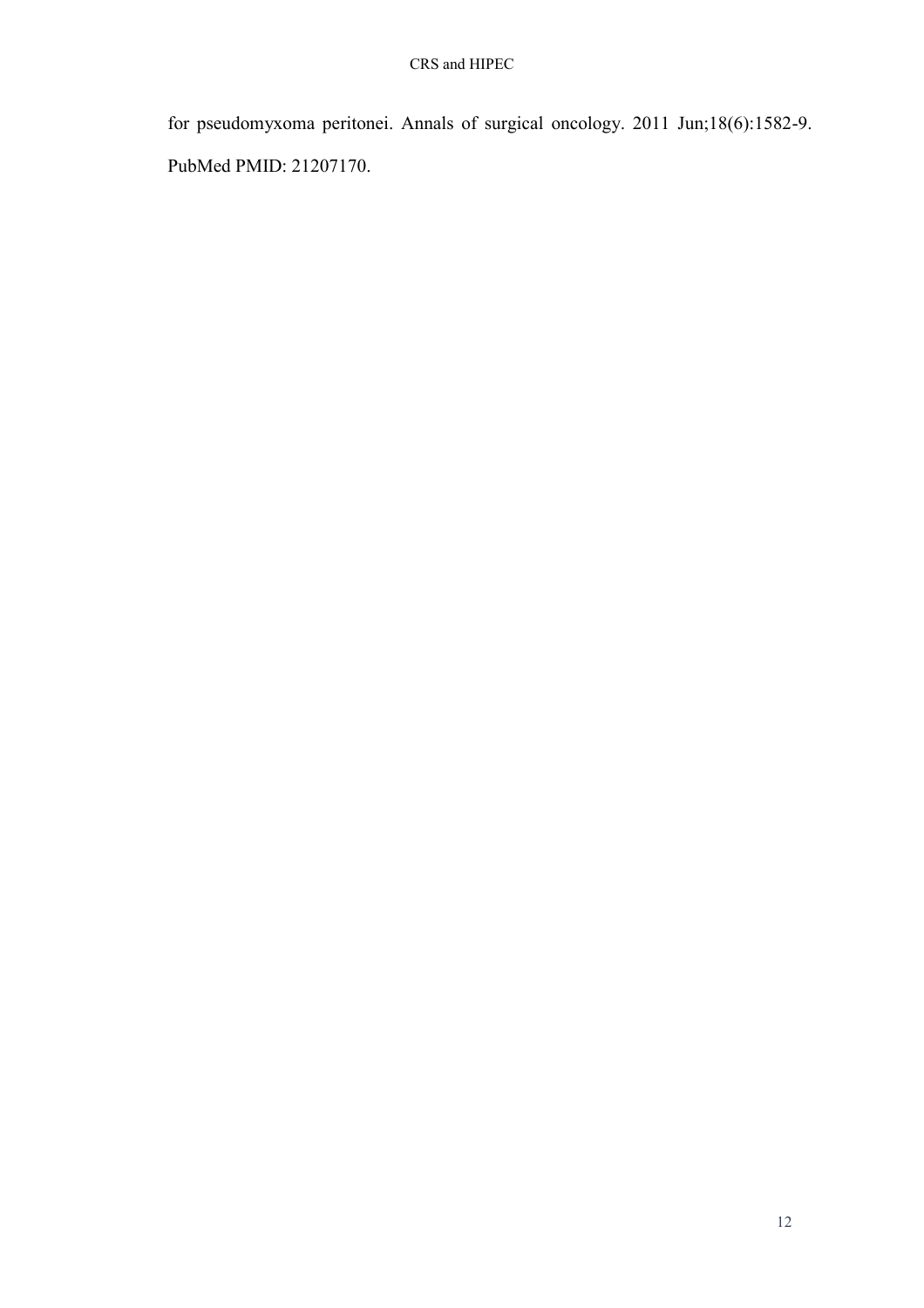for pseudomyxoma peritonei. Annals of surgical oncology. 2011 Jun;18(6):1582-9. PubMed PMID: 21207170.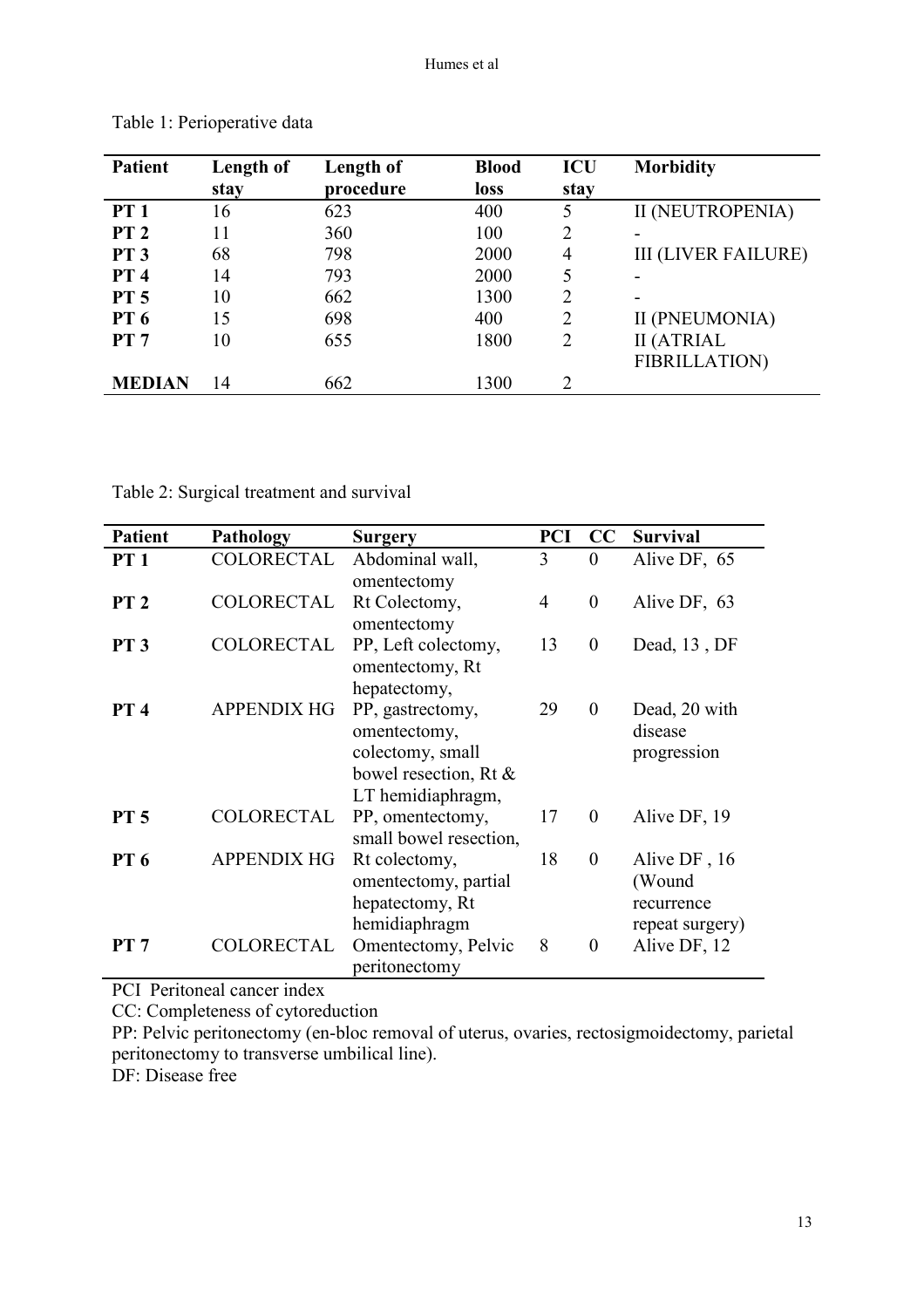| <b>Patient</b>  | Length of | Length of | <b>Blood</b> | <b>ICU</b>     | <b>Morbidity</b>           |
|-----------------|-----------|-----------|--------------|----------------|----------------------------|
|                 | stay      | procedure | <b>loss</b>  | stay           |                            |
| PT1             | 16        | 623       | 400          | 5              | II (NEUTROPENIA)           |
| PT <sub>2</sub> | 11        | 360       | 100          | 2              | -                          |
| <b>PT 3</b>     | 68        | 798       | 2000         | 4              | <b>III (LIVER FAILURE)</b> |
| PT <sub>4</sub> | 14        | 793       | 2000         | 5              | -                          |
| <b>PT 5</b>     | 10        | 662       | 1300         | $\overline{2}$ | -                          |
| <b>PT 6</b>     | 15        | 698       | 400          | 2              | II (PNEUMONIA)             |
| PT 7            | 10        | 655       | 1800         | $\overline{2}$ | <b>II (ATRIAL</b>          |
|                 |           |           |              |                | <b>FIBRILLATION</b> )      |
| <b>MEDIAN</b>   | 14        | 662       | 1300         | 2              |                            |

Table 1: Perioperative data

Table 2: Surgical treatment and survival

| <b>Patient</b>  | <b>Pathology</b>   | <b>Surgery</b>         | <b>PCI</b>     | $\bf CC$         | <b>Survival</b> |
|-----------------|--------------------|------------------------|----------------|------------------|-----------------|
| PT1             | COLORECTAL         | Abdominal wall,        | 3              | $\overline{0}$   | Alive DF, 65    |
|                 |                    | omentectomy            |                |                  |                 |
| PT <sub>2</sub> | COLORECTAL         | Rt Colectomy,          | $\overline{4}$ | $\theta$         | Alive DF, 63    |
|                 |                    | omentectomy            |                |                  |                 |
| PT3             | <b>COLORECTAL</b>  | PP, Left colectomy,    | 13             | $\boldsymbol{0}$ | Dead, 13, DF    |
|                 |                    | omentectomy, Rt        |                |                  |                 |
|                 |                    | hepatectomy,           |                |                  |                 |
| PT <sub>4</sub> | <b>APPENDIX HG</b> | PP, gastrectomy,       | 29             | $\overline{0}$   | Dead, 20 with   |
|                 |                    | omentectomy,           |                |                  | disease         |
|                 |                    | colectomy, small       |                |                  | progression     |
|                 |                    | bowel resection, Rt &  |                |                  |                 |
|                 |                    | LT hemidiaphragm,      |                |                  |                 |
| <b>PT 5</b>     | COLORECTAL         | PP, omentectomy,       | 17             | $\overline{0}$   | Alive DF, 19    |
|                 |                    | small bowel resection, |                |                  |                 |
| <b>PT 6</b>     | <b>APPENDIX HG</b> | Rt colectomy,          | 18             | $\boldsymbol{0}$ | Alive DF, 16    |
|                 |                    | omentectomy, partial   |                |                  | (Wound          |
|                 |                    | hepatectomy, Rt        |                |                  | recurrence      |
|                 |                    | hemidiaphragm          |                |                  | repeat surgery) |
| PT 7            | COLORECTAL         | Omentectomy, Pelvic    | 8              | $\theta$         | Alive DF, 12    |
|                 |                    | peritonectomy          |                |                  |                 |

PCI Peritoneal cancer index

CC: Completeness of cytoreduction

PP: Pelvic peritonectomy (en-bloc removal of uterus, ovaries, rectosigmoidectomy, parietal peritonectomy to transverse umbilical line).

DF: Disease free